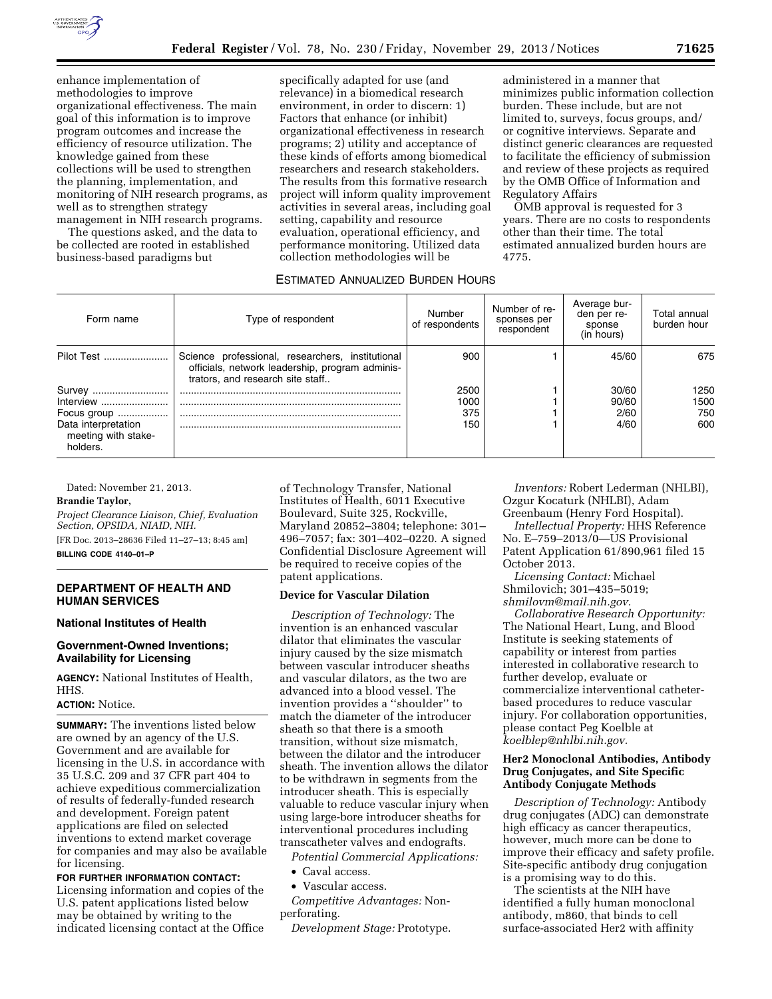

enhance implementation of methodologies to improve organizational effectiveness. The main goal of this information is to improve program outcomes and increase the efficiency of resource utilization. The knowledge gained from these collections will be used to strengthen the planning, implementation, and monitoring of NIH research programs, as well as to strengthen strategy management in NIH research programs.

The questions asked, and the data to be collected are rooted in established business-based paradigms but

specifically adapted for use (and relevance) in a biomedical research environment, in order to discern: 1) Factors that enhance (or inhibit) organizational effectiveness in research programs; 2) utility and acceptance of these kinds of efforts among biomedical researchers and research stakeholders. The results from this formative research project will inform quality improvement activities in several areas, including goal setting, capability and resource evaluation, operational efficiency, and performance monitoring. Utilized data collection methodologies will be

administered in a manner that minimizes public information collection burden. These include, but are not limited to, surveys, focus groups, and/ or cognitive interviews. Separate and distinct generic clearances are requested to facilitate the efficiency of submission and review of these projects as required by the OMB Office of Information and Regulatory Affairs

OMB approval is requested for 3 years. There are no costs to respondents other than their time. The total estimated annualized burden hours are 4775.

#### ESTIMATED ANNUALIZED BURDEN HOURS

| Form name                                              | Type of respondent                                                                                                                      | Number<br>of respondents | Number of re-<br>sponses per<br>respondent | Average bur-<br>den per re-<br>sponse<br>(in hours) | Total annual<br>burden hour |
|--------------------------------------------------------|-----------------------------------------------------------------------------------------------------------------------------------------|--------------------------|--------------------------------------------|-----------------------------------------------------|-----------------------------|
| Pilot Test                                             | Science professional, researchers, institutional<br>officials, network leadership, program adminis-<br>trators, and research site staff | 900                      |                                            | 45/60                                               | 675                         |
| Survey                                                 |                                                                                                                                         | 2500                     |                                            | 30/60                                               | 1250                        |
| Interview                                              |                                                                                                                                         | 1000                     |                                            | 90/60                                               | 1500                        |
| Focus group                                            |                                                                                                                                         | 375                      |                                            | 2/60                                                | 750                         |
| Data interpretation<br>meeting with stake-<br>holders. |                                                                                                                                         | 150                      |                                            | 4/60                                                | 600                         |

Dated: November 21, 2013.

#### **Brandie Taylor,**

*Project Clearance Liaison, Chief, Evaluation Section, OPSIDA, NIAID, NIH.*  [FR Doc. 2013–28636 Filed 11–27–13; 8:45 am]

**BILLING CODE 4140–01–P** 

### **DEPARTMENT OF HEALTH AND HUMAN SERVICES**

#### **National Institutes of Health**

#### **Government-Owned Inventions; Availability for Licensing**

**AGENCY:** National Institutes of Health, HHS.

#### **ACTION:** Notice.

**SUMMARY:** The inventions listed below are owned by an agency of the U.S. Government and are available for licensing in the U.S. in accordance with 35 U.S.C. 209 and 37 CFR part 404 to achieve expeditious commercialization of results of federally-funded research and development. Foreign patent applications are filed on selected inventions to extend market coverage for companies and may also be available for licensing.

**FOR FURTHER INFORMATION CONTACT:**  Licensing information and copies of the U.S. patent applications listed below may be obtained by writing to the indicated licensing contact at the Office of Technology Transfer, National Institutes of Health, 6011 Executive Boulevard, Suite 325, Rockville, Maryland 20852–3804; telephone: 301– 496–7057; fax: 301–402–0220. A signed Confidential Disclosure Agreement will be required to receive copies of the patent applications.

#### **Device for Vascular Dilation**

*Description of Technology:* The invention is an enhanced vascular dilator that eliminates the vascular injury caused by the size mismatch between vascular introducer sheaths and vascular dilators, as the two are advanced into a blood vessel. The invention provides a ''shoulder'' to match the diameter of the introducer sheath so that there is a smooth transition, without size mismatch, between the dilator and the introducer sheath. The invention allows the dilator to be withdrawn in segments from the introducer sheath. This is especially valuable to reduce vascular injury when using large-bore introducer sheaths for interventional procedures including transcatheter valves and endografts.

*Potential Commercial Applications:* 

- Caval access.
- Vascular access.

*Competitive Advantages:* Nonperforating.

*Development Stage:* Prototype.

*Inventors:* Robert Lederman (NHLBI), Ozgur Kocaturk (NHLBI), Adam Greenbaum (Henry Ford Hospital).

*Intellectual Property:* HHS Reference No. E–759–2013/0—US Provisional Patent Application 61/890,961 filed 15 October 2013.

*Licensing Contact:* Michael Shmilovich; 301–435–5019;

*[shmilovm@mail.nih.gov.](mailto:shmilovm@mail.nih.gov)* 

*Collaborative Research Opportunity:*  The National Heart, Lung, and Blood Institute is seeking statements of capability or interest from parties interested in collaborative research to further develop, evaluate or commercialize interventional catheterbased procedures to reduce vascular injury. For collaboration opportunities, please contact Peg Koelble at *[koelblep@nhlbi.nih.gov.](mailto:koelblep@nhlbi.nih.gov)* 

#### **Her2 Monoclonal Antibodies, Antibody Drug Conjugates, and Site Specific Antibody Conjugate Methods**

*Description of Technology:* Antibody drug conjugates (ADC) can demonstrate high efficacy as cancer therapeutics, however, much more can be done to improve their efficacy and safety profile. Site-specific antibody drug conjugation is a promising way to do this.

The scientists at the NIH have identified a fully human monoclonal antibody, m860, that binds to cell surface-associated Her2 with affinity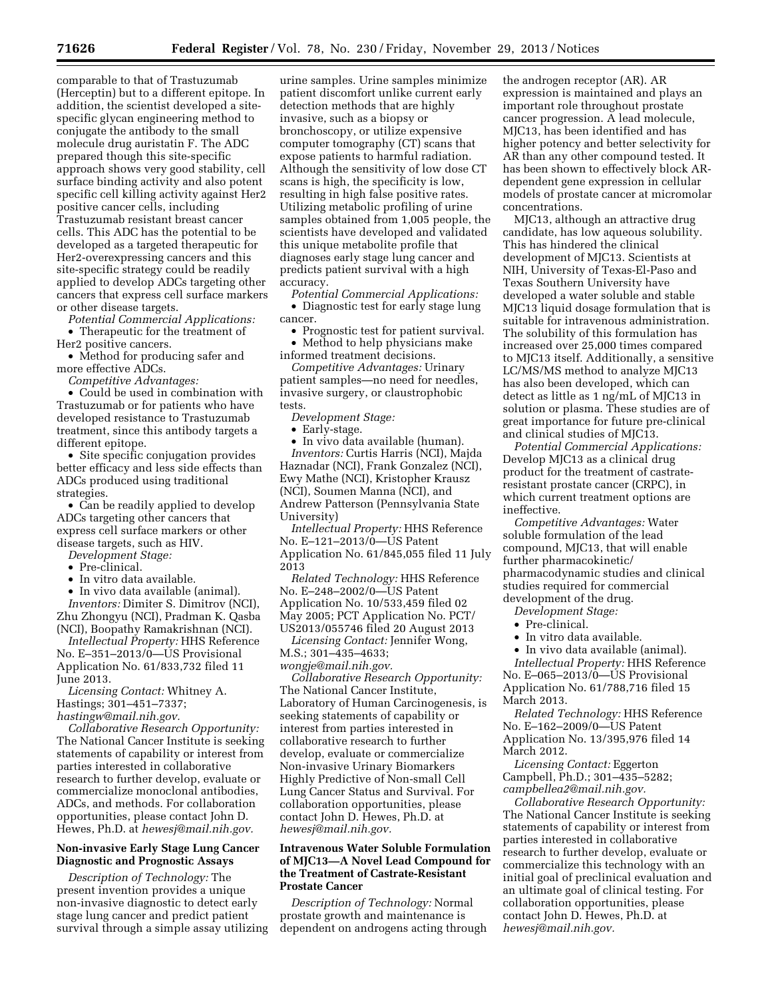comparable to that of Trastuzumab (Herceptin) but to a different epitope. In addition, the scientist developed a sitespecific glycan engineering method to conjugate the antibody to the small molecule drug auristatin F. The ADC prepared though this site-specific approach shows very good stability, cell surface binding activity and also potent specific cell killing activity against Her2 positive cancer cells, including Trastuzumab resistant breast cancer cells. This ADC has the potential to be developed as a targeted therapeutic for Her2-overexpressing cancers and this site-specific strategy could be readily applied to develop ADCs targeting other cancers that express cell surface markers or other disease targets.

*Potential Commercial Applications:*  • Therapeutic for the treatment of Her2 positive cancers.

• Method for producing safer and more effective ADCs.

*Competitive Advantages:* 

• Could be used in combination with Trastuzumab or for patients who have developed resistance to Trastuzumab treatment, since this antibody targets a different epitope.

• Site specific conjugation provides better efficacy and less side effects than ADCs produced using traditional strategies.

• Can be readily applied to develop ADCs targeting other cancers that express cell surface markers or other disease targets, such as HIV.

*Development Stage:* 

- Pre-clinical.
- In vitro data available.

• In vivo data available (animal). *Inventors:* Dimiter S. Dimitrov (NCI), Zhu Zhongyu (NCI), Pradman K. Qasba (NCI), Boopathy Ramakrishnan (NCI).

*Intellectual Property:* HHS Reference No. E–351–2013/0—US Provisional Application No. 61/833,732 filed 11 June 2013.

*Licensing Contact:* Whitney A. Hastings; 301–451–7337;

*[hastingw@mail.nih.gov.](mailto:hastingw@mail.nih.gov)* 

*Collaborative Research Opportunity:*  The National Cancer Institute is seeking statements of capability or interest from parties interested in collaborative research to further develop, evaluate or commercialize monoclonal antibodies, ADCs, and methods. For collaboration opportunities, please contact John D. Hewes, Ph.D. at *[hewesj@mail.nih.gov.](mailto:hewesj@mail.nih.gov)* 

### **Non-invasive Early Stage Lung Cancer Diagnostic and Prognostic Assays**

*Description of Technology:* The present invention provides a unique non-invasive diagnostic to detect early stage lung cancer and predict patient survival through a simple assay utilizing

urine samples. Urine samples minimize patient discomfort unlike current early detection methods that are highly invasive, such as a biopsy or bronchoscopy, or utilize expensive computer tomography (CT) scans that expose patients to harmful radiation. Although the sensitivity of low dose CT scans is high, the specificity is low, resulting in high false positive rates. Utilizing metabolic profiling of urine samples obtained from 1,005 people, the scientists have developed and validated this unique metabolite profile that diagnoses early stage lung cancer and predicts patient survival with a high accuracy.

*Potential Commercial Applications:*  • Diagnostic test for early stage lung cancer.

• Prognostic test for patient survival.

• Method to help physicians make

informed treatment decisions. *Competitive Advantages:* Urinary patient samples—no need for needles, invasive surgery, or claustrophobic tests.

*Development Stage:* 

• Early-stage.

• In vivo data available (human). *Inventors:* Curtis Harris (NCI), Majda Haznadar (NCI), Frank Gonzalez (NCI), Ewy Mathe (NCI), Kristopher Krausz (NCI), Soumen Manna (NCI), and Andrew Patterson (Pennsylvania State University)

*Intellectual Property:* HHS Reference No. E–121–2013/0—US Patent Application No. 61/845,055 filed 11 July 2013

*Related Technology:* HHS Reference No. E–248–2002/0—US Patent Application No. 10/533,459 filed 02 May 2005; PCT Application No. PCT/ US2013/055746 filed 20 August 2013

*Licensing Contact:* Jennifer Wong, M.S.; 301–435–4633;

*[wongje@mail.nih.gov.](mailto:wongje@mail.nih.gov)* 

*Collaborative Research Opportunity:*  The National Cancer Institute, Laboratory of Human Carcinogenesis, is seeking statements of capability or interest from parties interested in collaborative research to further develop, evaluate or commercialize Non-invasive Urinary Biomarkers Highly Predictive of Non-small Cell Lung Cancer Status and Survival. For collaboration opportunities, please contact John D. Hewes, Ph.D. at *[hewesj@mail.nih.gov.](mailto:hewesj@mail.nih.gov)* 

#### **Intravenous Water Soluble Formulation of MJC13—A Novel Lead Compound for the Treatment of Castrate-Resistant Prostate Cancer**

*Description of Technology:* Normal prostate growth and maintenance is dependent on androgens acting through the androgen receptor (AR). AR expression is maintained and plays an important role throughout prostate cancer progression. A lead molecule, MJC13, has been identified and has higher potency and better selectivity for AR than any other compound tested. It has been shown to effectively block ARdependent gene expression in cellular models of prostate cancer at micromolar concentrations.

MJC13, although an attractive drug candidate, has low aqueous solubility. This has hindered the clinical development of MJC13. Scientists at NIH, University of Texas-El-Paso and Texas Southern University have developed a water soluble and stable MJC13 liquid dosage formulation that is suitable for intravenous administration. The solubility of this formulation has increased over 25,000 times compared to MJC13 itself. Additionally, a sensitive LC/MS/MS method to analyze MJC13 has also been developed, which can detect as little as 1 ng/mL of MJC13 in solution or plasma. These studies are of great importance for future pre-clinical and clinical studies of MJC13.

*Potential Commercial Applications:*  Develop MJC13 as a clinical drug product for the treatment of castrateresistant prostate cancer (CRPC), in which current treatment options are ineffective.

*Competitive Advantages:* Water soluble formulation of the lead compound, MJC13, that will enable further pharmacokinetic/ pharmacodynamic studies and clinical studies required for commercial development of the drug.

*Development Stage:* 

- Pre-clinical.
- In vitro data available.
- In vivo data available (animal).

*Intellectual Property:* HHS Reference No. E–065–2013/0—US Provisional Application No. 61/788,716 filed 15 March 2013.

*Related Technology:* HHS Reference No. E-162-2009/0-US Patent Application No. 13/395,976 filed 14 March 2012.

*Licensing Contact:* Eggerton Campbell, Ph.D.; 301–435–5282; *[campbellea2@mail.nih.gov.](mailto:campbellea2@mail.nih.gov)* 

*Collaborative Research Opportunity:*  The National Cancer Institute is seeking statements of capability or interest from parties interested in collaborative research to further develop, evaluate or commercialize this technology with an initial goal of preclinical evaluation and an ultimate goal of clinical testing. For collaboration opportunities, please contact John D. Hewes, Ph.D. at *[hewesj@mail.nih.gov.](mailto:hewesj@mail.nih.gov)*